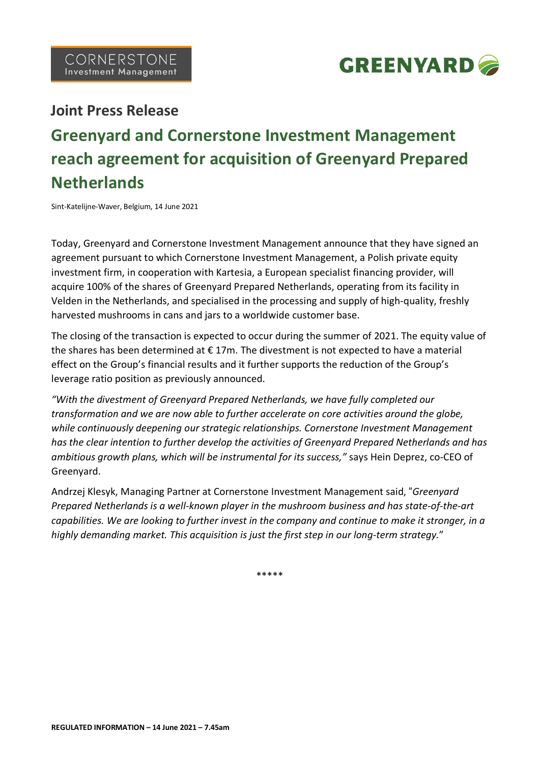

# **Joint Press Release**

# **Greenyard and Cornerstone Investment Management reach agreement for acquisition of Greenyard Prepared Netherlands**

Sint-Katelijne-Waver, Belgium, 14 June 2021

Today, Greenyard and Cornerstone Investment Management announce that they have signed an agreement pursuant to which Cornerstone Investment Management, a Polish private equity investment firm, in cooperation with Kartesia, a European specialist financing provider, will acquire 100% of the shares of Greenyard Prepared Netherlands, operating from its facility in Velden in the Netherlands, and specialised in the processing and supply of high-quality, freshly harvested mushrooms in cans and jars to a worldwide customer base.

The closing of the transaction is expected to occur during the summer of 2021. The equity value of the shares has been determined at  $\epsilon$  17m. The divestment is not expected to have a material effect on the Group's financial results and it further supports the reduction of the Group's leverage ratio position as previously announced.

*"With the divestment of Greenyard Prepared Netherlands, we have fully completed our transformation and we are now able to further accelerate on core activities around the globe, while continuously deepening our strategic relationships. Cornerstone Investment Management has the clear intention to further develop the activities of Greenyard Prepared Netherlands and has ambitious growth plans, which will be instrumental for its success,"* says Hein Deprez, co-CEO of Greenyard.

Andrzej Klesyk, Managing Partner at Cornerstone Investment Management said, "*Greenyard Prepared Netherlands is a well-known player in the mushroom business and has state-of-the-art* capabilities. We are looking to further invest in the company and continue to make it stronger, in a *highly demanding market. This acquisition is just the first step in our long-term strategy.*"

\*\*\*\*\*